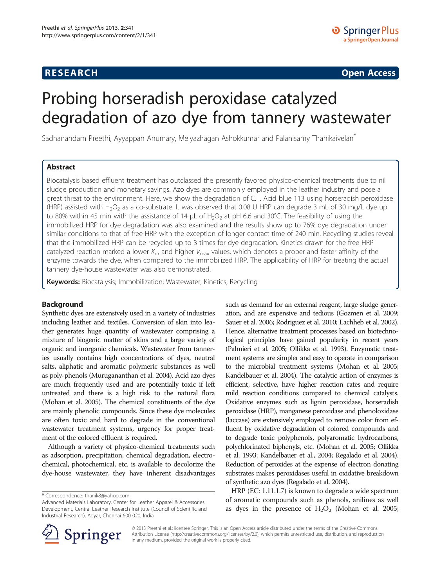# **RESEARCH CHE Open Access**

# Probing horseradish peroxidase catalyzed degradation of azo dye from tannery wastewater

Sadhanandam Preethi, Ayyappan Anumary, Meiyazhagan Ashokkumar and Palanisamy Thanikaivelan\*

# Abstract

Biocatalysis based effluent treatment has outclassed the presently favored physico-chemical treatments due to nil sludge production and monetary savings. Azo dyes are commonly employed in the leather industry and pose a great threat to the environment. Here, we show the degradation of C. I. Acid blue 113 using horseradish peroxidase (HRP) assisted with H<sub>2</sub>O<sub>2</sub> as a co-substrate. It was observed that 0.08 U HRP can degrade 3 mL of 30 mg/L dye up to 80% within 45 min with the assistance of 14  $\mu$ L of H<sub>2</sub>O<sub>2</sub> at pH 6.6 and 30°C. The feasibility of using the immobilized HRP for dye degradation was also examined and the results show up to 76% dye degradation under similar conditions to that of free HRP with the exception of longer contact time of 240 min. Recycling studies reveal that the immobilized HRP can be recycled up to 3 times for dye degradation. Kinetics drawn for the free HRP catalyzed reaction marked a lower  $K_m$  and higher  $V_{max}$  values, which denotes a proper and faster affinity of the enzyme towards the dye, when compared to the immobilized HRP. The applicability of HRP for treating the actual tannery dye-house wastewater was also demonstrated.

Keywords: Biocatalysis; Immobilization; Wastewater; Kinetics; Recycling

#### Background

Synthetic dyes are extensively used in a variety of industries including leather and textiles. Conversion of skin into leather generates huge quantity of wastewater comprising a mixture of biogenic matter of skins and a large variety of organic and inorganic chemicals. Wastewater from tanneries usually contains high concentrations of dyes, neutral salts, aliphatic and aromatic polymeric substances as well as poly-phenols (Murugananthan et al. [2004](#page-7-0)). Acid azo dyes are much frequently used and are potentially toxic if left untreated and there is a high risk to the natural flora (Mohan et al. [2005](#page-7-0)). The chemical constituents of the dye are mainly phenolic compounds. Since these dye molecules are often toxic and hard to degrade in the conventional wastewater treatment systems, urgency for proper treatment of the colored effluent is required.

Although a variety of physico-chemical treatments such as adsorption, precipitation, chemical degradation, electrochemical, photochemical, etc. is available to decolorize the dye-house wastewater, they have inherent disadvantages

such as demand for an external reagent, large sludge generation, and are expensive and tedious (Gozmen et al. [2009](#page-7-0); Sauer et al. [2006](#page-7-0); Rodriguez et al. [2010;](#page-7-0) Lachheb et al. [2002](#page-7-0)). Hence, alternative treatment processes based on biotechnological principles have gained popularity in recent years (Palmieri et al. [2005](#page-7-0); Ollikka et al. [1993\)](#page-7-0). Enzymatic treatment systems are simpler and easy to operate in comparison to the microbial treatment systems (Mohan et al. [2005](#page-7-0); Kandelbauer et al. [2004](#page-7-0)). The catalytic action of enzymes is efficient, selective, have higher reaction rates and require mild reaction conditions compared to chemical catalysts. Oxidative enzymes such as lignin peroxidase, horseradish peroxidase (HRP), manganese peroxidase and phenoloxidase (laccase) are extensively employed to remove color from effluent by oxidative degradation of colored compounds and to degrade toxic polyphenols, polyaromatic hydrocarbons, polychlorinated biphenyls, etc. (Mohan et al. [2005;](#page-7-0) Ollikka et al. [1993](#page-7-0); Kandelbauer et al., [2004;](#page-7-0) Regalado et al. [2004](#page-7-0)). Reduction of peroxides at the expense of electron donating substrates makes peroxidases useful in oxidative breakdown of synthetic azo dyes (Regalado et al. [2004\)](#page-7-0).

HRP (EC: 1.11.1.7) is known to degrade a wide spectrum of aromatic compounds such as phenols, anilines as well as dyes in the presence of  $H_2O_2$  (Mohan et al. [2005](#page-7-0);



© 2013 Preethi et al.; licensee Springer. This is an Open Access article distributed under the terms of the Creative Commons Attribution License [\(http://creativecommons.org/licenses/by/2.0\)](http://creativecommons.org/licenses/by/2.0), which permits unrestricted use, distribution, and reproduction in any medium, provided the original work is properly cited.

<sup>\*</sup> Correspondence: [thanik8@yahoo.com](mailto:thanik8@yahoo.com)

Advanced Materials Laboratory, Center for Leather Apparel & Accessories Development, Central Leather Research Institute (Council of Scientific and Industrial Research), Adyar, Chennai 600 020, India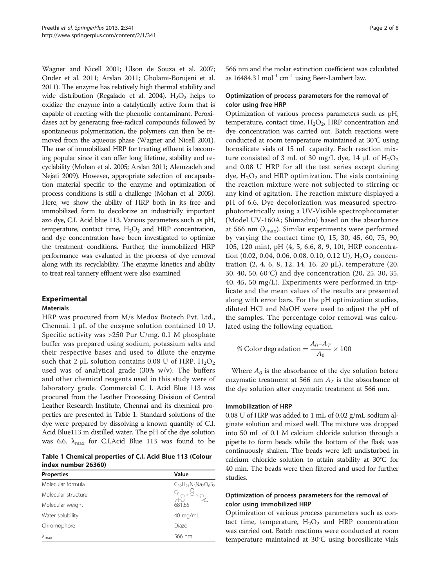Wagner and Nicell [2001;](#page-7-0) Ulson de Souza et al. [2007](#page-7-0); Onder et al. [2011](#page-7-0); Arslan [2011](#page-7-0); Gholami-Borujeni et al. [2011\)](#page-7-0). The enzyme has relatively high thermal stability and wide distribution (Regalado et al. [2004\)](#page-7-0).  $H_2O_2$  helps to oxidize the enzyme into a catalytically active form that is capable of reacting with the phenolic contaminant. Peroxidases act by generating free-radical compounds followed by spontaneous polymerization, the polymers can then be removed from the aqueous phase (Wagner and Nicell [2001\)](#page-7-0). The use of immobilized HRP for treating effluent is becoming popular since it can offer long lifetime, stability and recyclability (Mohan et al. [2005](#page-7-0); Arslan [2011](#page-7-0); Alemzadeh and Nejati [2009](#page-7-0)). However, appropriate selection of encapsulation material specific to the enzyme and optimization of process conditions is still a challenge (Mohan et al. [2005](#page-7-0)). Here, we show the ability of HRP both in its free and immobilized form to decolorize an industrially important azo dye, C.I. Acid blue 113. Various parameters such as pH, temperature, contact time,  $H_2O_2$  and HRP concentration, and dye concentration have been investigated to optimize the treatment conditions. Further, the immobilized HRP performance was evaluated in the process of dye removal along with its recyclability. The enzyme kinetics and ability to treat real tannery effluent were also examined.

#### Experimental

#### Materials

HRP was procured from M/s Medox Biotech Pvt. Ltd., Chennai. 1 μL of the enzyme solution contained 10 U. Specific activity was >250 Pur U/mg. 0.1 M phosphate buffer was prepared using sodium, potassium salts and their respective bases and used to dilute the enzyme such that 2 μL solution contains 0.08 U of HRP.  $H_2O_2$ used was of analytical grade (30% w/v). The buffers and other chemical reagents used in this study were of laboratory grade. Commercial C. I. Acid Blue 113 was procured from the Leather Processing Division of Central Leather Research Institute, Chennai and its chemical properties are presented in Table 1. Standard solutions of the dye were prepared by dissolving a known quantity of C.I. Acid Blue113 in distilled water. The pH of the dye solution was 6.6.  $\lambda_{\text{max}}$  for C.I.Acid Blue 113 was found to be

Table 1 Chemical properties of C.I. Acid Blue 113 (Colour index number 26360)

| <b>Properties</b>      | Value                       |
|------------------------|-----------------------------|
| Molecular formula      | $C_{32}H_{21}N_5Na_2O_6S_2$ |
| Molecular structure    |                             |
| Molecular weight       | 681.65                      |
| Water solubility       | 40 mg/mL                    |
| Chromophore            | Diazo                       |
| $\Lambda_{\text{max}}$ | 566 nm                      |

566 nm and the molar extinction coefficient was calculated as  $16484.3$  l mol<sup>-1</sup> cm<sup>-1</sup> using Beer-Lambert law.

#### Optimization of process parameters for the removal of color using free HRP

Optimization of various process parameters such as pH, temperature, contact time,  $H_2O_2$ , HRP concentration and dye concentration was carried out. Batch reactions were conducted at room temperature maintained at 30°C using borosilicate vials of 15 mL capacity. Each reaction mixture consisted of 3 mL of 30 mg/L dye, 14  $\mu$ L of H<sub>2</sub>O<sub>2</sub> and 0.08 U HRP for all the test series except during dye,  $H_2O_2$  and HRP optimization. The vials containing the reaction mixture were not subjected to stirring or any kind of agitation. The reaction mixture displayed a pH of 6.6. Dye decolorization was measured spectrophotometrically using a UV-Visible spectrophotometer (Model UV-160A; Shimadzu) based on the absorbance at 566 nm  $(\lambda_{\text{max}})$ . Similar experiments were performed by varying the contact time (0, 15, 30, 45, 60, 75, 90, 105, 120 min), pH (4, 5, 6.6, 8, 9, 10), HRP concentration (0.02, 0.04, 0.06, 0.08, 0.10, 0.12 U),  $H_2O_2$  concentration (2, 4, 6, 8, 12, 14, 16, 20 μL), temperature (20, 30, 40, 50, 60°C) and dye concentration (20, 25, 30, 35, 40, 45, 50 mg/L). Experiments were performed in triplicate and the mean values of the results are presented along with error bars. For the pH optimization studies, diluted HCl and NaOH were used to adjust the pH of the samples. The percentage color removal was calculated using the following equation.

% Color degradation 
$$
=
$$
  $\frac{A_0 - A_T}{A_0} \times 100$ 

Where  $A_0$  is the absorbance of the dye solution before enzymatic treatment at 566 nm  $A_T$  is the absorbance of the dye solution after enzymatic treatment at 566 nm.

#### Immobilization of HRP

0.08 U of HRP was added to 1 mL of 0.02 g/mL sodium alginate solution and mixed well. The mixture was dropped into 50 mL of 0.1 M calcium chloride solution through a pipette to form beads while the bottom of the flask was continuously shaken. The beads were left undisturbed in calcium chloride solution to attain stability at 30°C for 40 min. The beads were then filtered and used for further studies.

#### Optimization of process parameters for the removal of color using immobilized HRP

Optimization of various process parameters such as contact time, temperature,  $H_2O_2$  and HRP concentration was carried out. Batch reactions were conducted at room temperature maintained at 30°C using borosilicate vials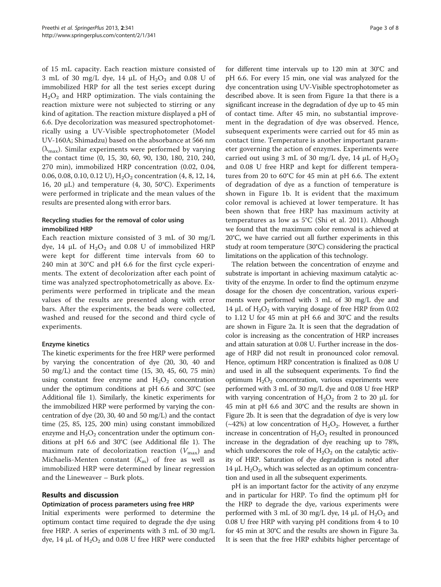of 15 mL capacity. Each reaction mixture consisted of 3 mL of 30 mg/L dye, 14  $\mu$ L of H<sub>2</sub>O<sub>2</sub> and 0.08 U of immobilized HRP for all the test series except during  $H<sub>2</sub>O<sub>2</sub>$  and HRP optimization. The vials containing the reaction mixture were not subjected to stirring or any kind of agitation. The reaction mixture displayed a pH of 6.6. Dye decolorization was measured spectrophotometrically using a UV-Visible spectrophotometer (Model UV-160A; Shimadzu) based on the absorbance at 566 nm  $(\lambda_{\text{max}})$ . Similar experiments were performed by varying the contact time (0, 15, 30, 60, 90, 130, 180, 210, 240, 270 min), immobilized HRP concentration (0.02, 0.04, 0.06, 0.08, 0.10, 0.12 U),  $H_2O_2$  concentration (4, 8, 12, 14, 16, 20 μL) and temperature  $(4, 30, 50^{\circ}$ C). Experiments were performed in triplicate and the mean values of the results are presented along with error bars.

# Recycling studies for the removal of color using immobilized HRP

Each reaction mixture consisted of 3 mL of 30 mg/L dye, 14 μL of  $H_2O_2$  and 0.08 U of immobilized HRP were kept for different time intervals from 60 to 240 min at 30°C and pH 6.6 for the first cycle experiments. The extent of decolorization after each point of time was analyzed spectrophotometrically as above. Experiments were performed in triplicate and the mean values of the results are presented along with error bars. After the experiments, the beads were collected, washed and reused for the second and third cycle of experiments.

#### Enzyme kinetics

The kinetic experiments for the free HRP were performed by varying the concentration of dye (20, 30, 40 and 50 mg/L) and the contact time (15, 30, 45, 60, 75 min) using constant free enzyme and  $H_2O_2$  concentration under the optimum conditions at pH 6.6 and 30°C (see Additional file [1](#page-7-0)). Similarly, the kinetic experiments for the immobilized HRP were performed by varying the concentration of dye (20, 30, 40 and 50 mg/L) and the contact time (25, 85, 125, 200 min) using constant immobilized enzyme and  $H_2O_2$  concentration under the optimum conditions at pH 6.6 and 30°C (see Additional file [1\)](#page-7-0). The maximum rate of decolorization reaction  $(V_{\text{max}})$  and Michaelis-Menten constant  $(K<sub>m</sub>)$  of free as well as immobilized HRP were determined by linear regression and the Lineweaver – Burk plots.

#### Results and discussion

#### Optimization of process parameters using free HRP

Initial experiments were performed to determine the optimum contact time required to degrade the dye using free HRP. A series of experiments with 3 mL of 30 mg/L dye, 14 μL of  $H_2O_2$  and 0.08 U free HRP were conducted for different time intervals up to 120 min at 30°C and pH 6.6. For every 15 min, one vial was analyzed for the dye concentration using UV-Visible spectrophotometer as described above. It is seen from Figure [1a](#page-3-0) that there is a significant increase in the degradation of dye up to 45 min of contact time. After 45 min, no substantial improvement in the degradation of dye was observed. Hence, subsequent experiments were carried out for 45 min as contact time. Temperature is another important parameter governing the action of enzymes. Experiments were carried out using 3 mL of 30 mg/L dye, 14  $\mu$ L of H<sub>2</sub>O<sub>2</sub> and 0.08 U free HRP and kept for different temperatures from 20 to 60°C for 45 min at pH 6.6. The extent of degradation of dye as a function of temperature is shown in Figure [1](#page-3-0)b. It is evident that the maximum color removal is achieved at lower temperature. It has been shown that free HRP has maximum activity at temperatures as low as 5°C (Shi et al. [2011\)](#page-7-0). Although we found that the maximum color removal is achieved at 20°C, we have carried out all further experiments in this study at room temperature (30°C) considering the practical limitations on the application of this technology.

The relation between the concentration of enzyme and substrate is important in achieving maximum catalytic activity of the enzyme. In order to find the optimum enzyme dosage for the chosen dye concentration, various experiments were performed with 3 mL of 30 mg/L dye and 14 μL of  $H_2O_2$  with varying dosage of free HRP from 0.02 to 1.12 U for 45 min at pH 6.6 and 30°C and the results are shown in Figure [2a](#page-3-0). It is seen that the degradation of color is increasing as the concentration of HRP increases and attain saturation at 0.08 U. Further increase in the dosage of HRP did not result in pronounced color removal. Hence, optimum HRP concentration is finalized as 0.08 U and used in all the subsequent experiments. To find the optimum  $H_2O_2$  concentration, various experiments were performed with 3 mL of 30 mg/L dye and 0.08 U free HRP with varying concentration of  $H_2O_2$  from 2 to 20 µL for 45 min at pH 6.6 and 30°C and the results are shown in Figure [2](#page-3-0)b. It is seen that the degradation of dye is very low ( $\sim$ 42%) at low concentration of H<sub>2</sub>O<sub>2</sub>. However, a further increase in concentration of  $H_2O_2$  resulted in pronounced increase in the degradation of dye reaching up to 78%, which underscores the role of  $H_2O_2$  on the catalytic activity of HRP. Saturation of dye degradation is noted after 14 μL  $H_2O_2$ , which was selected as an optimum concentration and used in all the subsequent experiments.

pH is an important factor for the activity of any enzyme and in particular for HRP. To find the optimum pH for the HRP to degrade the dye, various experiments were performed with 3 mL of 30 mg/L dye, 14  $\mu$ L of H<sub>2</sub>O<sub>2</sub> and 0.08 U free HRP with varying pH conditions from 4 to 10 for 45 min at 30°C and the results are shown in Figure [3](#page-4-0)a. It is seen that the free HRP exhibits higher percentage of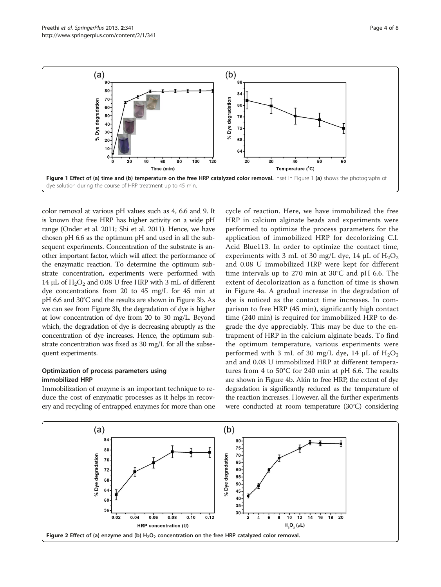<span id="page-3-0"></span>

color removal at various pH values such as 4, 6.6 and 9. It is known that free HRP has higher activity on a wide pH range (Onder et al. [2011;](#page-7-0) Shi et al. [2011\)](#page-7-0). Hence, we have chosen pH 6.6 as the optimum pH and used in all the subsequent experiments. Concentration of the substrate is another important factor, which will affect the performance of the enzymatic reaction. To determine the optimum substrate concentration, experiments were performed with 14 μL of  $H_2O_2$  and 0.08 U free HRP with 3 mL of different dye concentrations from 20 to 45 mg/L for 45 min at pH 6.6 and 30°C and the results are shown in Figure [3](#page-4-0)b. As we can see from Figure [3](#page-4-0)b, the degradation of dye is higher at low concentration of dye from 20 to 30 mg/L. Beyond which, the degradation of dye is decreasing abruptly as the concentration of dye increases. Hence, the optimum substrate concentration was fixed as 30 mg/L for all the subsequent experiments.

#### Optimization of process parameters using immobilized HRP

Immobilization of enzyme is an important technique to reduce the cost of enzymatic processes as it helps in recovery and recycling of entrapped enzymes for more than one

cycle of reaction. Here, we have immobilized the free HRP in calcium alginate beads and experiments were performed to optimize the process parameters for the application of immobilized HRP for decolorizing C.I. Acid Blue113. In order to optimize the contact time, experiments with 3 mL of 30 mg/L dye, 14  $\mu$ L of H<sub>2</sub>O<sub>2</sub> and 0.08 U immobilized HRP were kept for different time intervals up to 270 min at 30°C and pH 6.6. The extent of decolorization as a function of time is shown in Figure [4](#page-4-0)a. A gradual increase in the degradation of dye is noticed as the contact time increases. In comparison to free HRP (45 min), significantly high contact time (240 min) is required for immobilized HRP to degrade the dye appreciably. This may be due to the entrapment of HRP in the calcium alginate beads. To find the optimum temperature, various experiments were performed with 3 mL of 30 mg/L dye, 14  $\mu$ L of H<sub>2</sub>O<sub>2</sub> and and 0.08 U immobilized HRP at different temperatures from 4 to 50°C for 240 min at pH 6.6. The results are shown in Figure [4](#page-4-0)b. Akin to free HRP, the extent of dye degradation is significantly reduced as the temperature of the reaction increases. However, all the further experiments were conducted at room temperature (30°C) considering

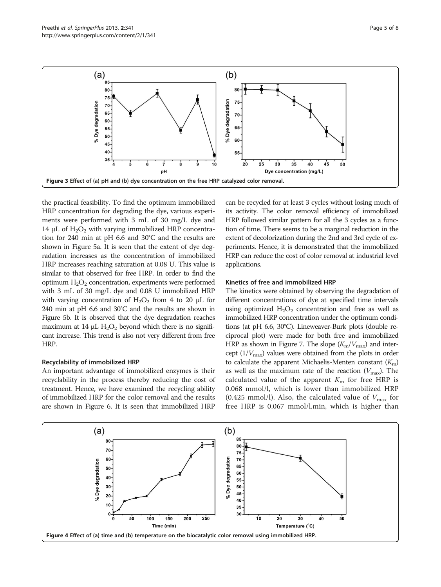<span id="page-4-0"></span>

the practical feasibility. To find the optimum immobilized HRP concentration for degrading the dye, various experiments were performed with 3 mL of 30 mg/L dye and 14 μL of  $H<sub>2</sub>O<sub>2</sub>$  with varying immobilized HRP concentration for 240 min at pH 6.6 and 30°C and the results are shown in Figure [5a](#page-5-0). It is seen that the extent of dye degradation increases as the concentration of immobilized HRP increases reaching saturation at 0.08 U. This value is similar to that observed for free HRP. In order to find the optimum  $H_2O_2$  concentration, experiments were performed with 3 mL of 30 mg/L dye and 0.08 U immobilized HRP with varying concentration of  $H_2O_2$  from 4 to 20 µL for 240 min at pH 6.6 and 30°C and the results are shown in Figure [5b](#page-5-0). It is observed that the dye degradation reaches maximum at 14 μL  $H_2O_2$  beyond which there is no significant increase. This trend is also not very different from free HRP.

#### Recyclability of immobilized HRP

An important advantage of immobilized enzymes is their recyclability in the process thereby reducing the cost of treatment. Hence, we have examined the recycling ability of immobilized HRP for the color removal and the results are shown in Figure [6](#page-5-0). It is seen that immobilized HRP

can be recycled for at least 3 cycles without losing much of its activity. The color removal efficiency of immobilized HRP followed similar pattern for all the 3 cycles as a function of time. There seems to be a marginal reduction in the extent of decolorization during the 2nd and 3rd cycle of experiments. Hence, it is demonstrated that the immobilized HRP can reduce the cost of color removal at industrial level applications.

#### Kinetics of free and immobilized HRP

The kinetics were obtained by observing the degradation of different concentrations of dye at specified time intervals using optimized  $H_2O_2$  concentration and free as well as immobilized HRP concentration under the optimum conditions (at pH 6.6, 30°C). Lineweaver-Burk plots (double reciprocal plot) were made for both free and immobilized HRP as shown in Figure [7.](#page-6-0) The slope  $(K_m/V_{\text{max}})$  and intercept  $(1/V_{\text{max}})$  values were obtained from the plots in order to calculate the apparent Michaelis-Menten constant  $(K<sub>m</sub>)$ as well as the maximum rate of the reaction  $(V_{\text{max}})$ . The calculated value of the apparent  $K<sub>m</sub>$  for free HRP is 0.068 mmol/l, which is lower than immobilized HRP (0.425 mmol/l). Also, the calculated value of  $V_{\text{max}}$  for free HRP is 0.067 mmol/l.min, which is higher than

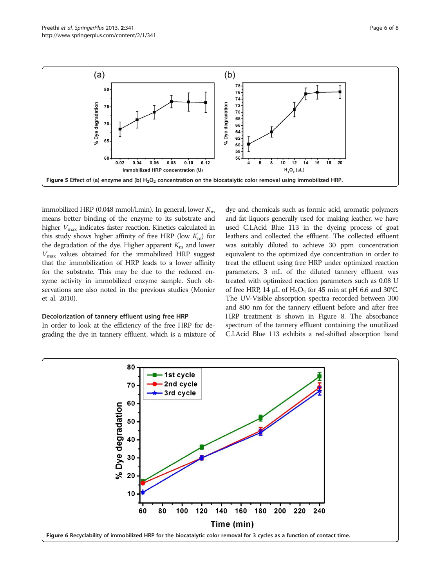<span id="page-5-0"></span>

immobilized HRP (0.048 mmol/l.min). In general, lower  $K<sub>m</sub>$ means better binding of the enzyme to its substrate and higher  $V_{\text{max}}$  indicates faster reaction. Kinetics calculated in this study shows higher affinity of free HRP (low  $K<sub>m</sub>$ ) for the degradation of the dye. Higher apparent  $K<sub>m</sub>$  and lower  $V_{\text{max}}$  values obtained for the immobilized HRP suggest that the immobilization of HRP leads to a lower affinity for the substrate. This may be due to the reduced enzyme activity in immobilized enzyme sample. Such observations are also noted in the previous studies (Monier et al. [2010](#page-7-0)).

#### Decolorization of tannery effluent using free HRP

In order to look at the efficiency of the free HRP for degrading the dye in tannery effluent, which is a mixture of

dye and chemicals such as formic acid, aromatic polymers and fat liquors generally used for making leather, we have used C.I.Acid Blue 113 in the dyeing process of goat leathers and collected the effluent. The collected effluent was suitably diluted to achieve 30 ppm concentration equivalent to the optimized dye concentration in order to treat the effluent using free HRP under optimized reaction parameters. 3 mL of the diluted tannery effluent was treated with optimized reaction parameters such as 0.08 U of free HRP, 14 μL of  $H_2O_2$  for 45 min at pH 6.6 and 30°C. The UV-Visible absorption spectra recorded between 300 and 800 nm for the tannery effluent before and after free HRP treatment is shown in Figure [8](#page-6-0). The absorbance spectrum of the tannery effluent containing the unutilized C.I.Acid Blue 113 exhibits a red-shifted absorption band

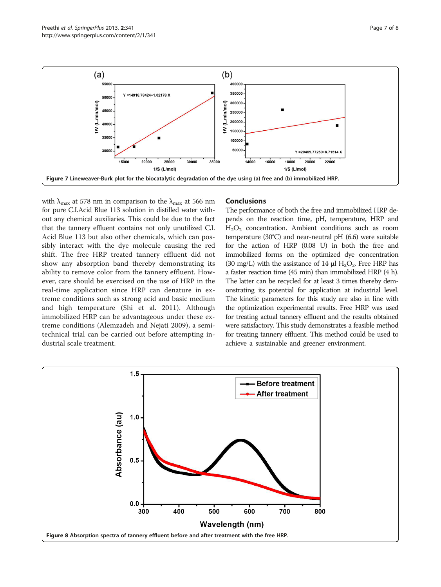<span id="page-6-0"></span>

with  $\lambda_{\text{max}}$  at 578 nm in comparison to the  $\lambda_{\text{max}}$  at 566 nm for pure C.I.Acid Blue 113 solution in distilled water without any chemical auxiliaries. This could be due to the fact that the tannery effluent contains not only unutilized C.I. Acid Blue 113 but also other chemicals, which can possibly interact with the dye molecule causing the red shift. The free HRP treated tannery effluent did not show any absorption band thereby demonstrating its ability to remove color from the tannery effluent. However, care should be exercised on the use of HRP in the real-time application since HRP can denature in extreme conditions such as strong acid and basic medium and high temperature (Shi et al. [2011\)](#page-7-0). Although immobilized HRP can be advantageous under these extreme conditions (Alemzadeh and Nejati [2009](#page-7-0)), a semitechnical trial can be carried out before attempting industrial scale treatment.

# **Conclusions**

The performance of both the free and immobilized HRP depends on the reaction time, pH, temperature, HRP and  $H_2O_2$  concentration. Ambient conditions such as room temperature (30°C) and near-neutral pH (6.6) were suitable for the action of HRP (0.08 U) in both the free and immobilized forms on the optimized dye concentration (30 mg/L) with the assistance of 14  $\mu$ l H<sub>2</sub>O<sub>2</sub>. Free HRP has a faster reaction time (45 min) than immobilized HRP (4 h). The latter can be recycled for at least 3 times thereby demonstrating its potential for application at industrial level. The kinetic parameters for this study are also in line with the optimization experimental results. Free HRP was used for treating actual tannery effluent and the results obtained were satisfactory. This study demonstrates a feasible method for treating tannery effluent. This method could be used to achieve a sustainable and greener environment.